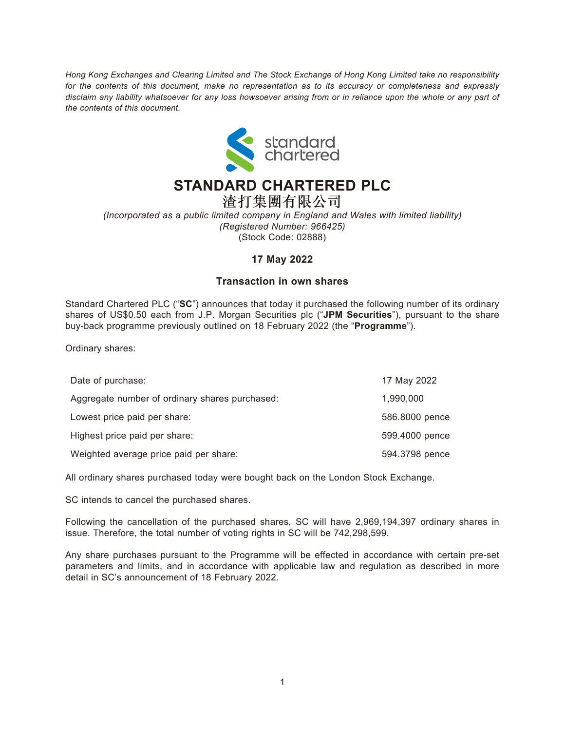*Hong Kong Exchanges and Clearing Limited and The Stock Exchange of Hong Kong Limited take no responsibility for the contents of this document, make no representation as to its accuracy or completeness and expressly disclaim any liability whatsoever for any loss howsoever arising from or in reliance upon the whole or any part of the contents of this document.*



## **STANDARD CHARTERED PLC**

渣打集團有限公司 *(Incorporated as a public limited company in England and Wales with limited liability) (Registered Number: 966425)* (Stock Code: 02888)

## **17 May 2022**

## **Transaction in own shares**

Standard Chartered PLC ("**SC**") announces that today it purchased the following number of its ordinary shares of US\$0.50 each from J.P. Morgan Securities plc ("**JPM Securities**"), pursuant to the share buy-back programme previously outlined on 18 February 2022 (the "**Programme**").

Ordinary shares:

| Date of purchase:                              | 17 May 2022    |
|------------------------------------------------|----------------|
| Aggregate number of ordinary shares purchased: | 1,990,000      |
| Lowest price paid per share:                   | 586.8000 pence |
| Highest price paid per share:                  | 599.4000 pence |
| Weighted average price paid per share:         | 594.3798 pence |

All ordinary shares purchased today were bought back on the London Stock Exchange.

SC intends to cancel the purchased shares.

Following the cancellation of the purchased shares, SC will have 2,969,194,397 ordinary shares in issue. Therefore, the total number of voting rights in SC will be 742,298,599.

Any share purchases pursuant to the Programme will be effected in accordance with certain pre-set parameters and limits, and in accordance with applicable law and regulation as described in more detail in SC's announcement of 18 February 2022.